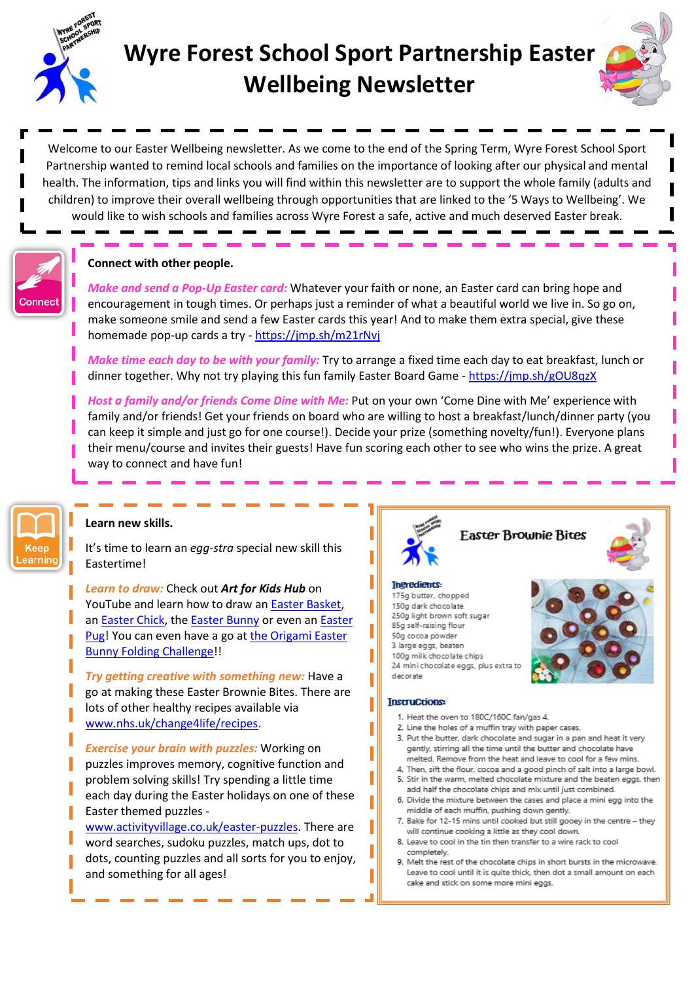

onnect

**Keep** earning.

# **Wyre Forest School Sport Partnership Easter Wellbeing Newsletter**



Welcome to our Easter Wellbeing newsletter. As we come to the end of the Spring Term, Wyre Forest School Sport Partnership wanted to remind local schools and families on the importance of looking after our physical and mental health. The information, tips and links you will find within this newsletter are to support the whole family (adults and children) to improve their overall wellbeing through opportunities that are linked to the '5 Ways to Wellbeing'. We would like to wish schools and families across Wyre Forest a safe, active and much deserved Easter break.

#### **Connect with other people.**

*Make and send a Pop-Up Easter card:* Whatever your faith or none, an Easter card can bring hope and encouragement in tough times. Or perhaps just a reminder of what a beautiful world we live in. So go on, make someone smile and send a few Easter cards this year! And to make them extra special, give these homemade pop-up cards a try - <https://jmp.sh/m21rNvj>

*Make time each day to be with your family:* Try to arrange a fixed time each day to eat breakfast, lunch or dinner together. Why not try playing this fun family Easter Board Game - <https://jmp.sh/gOU8qzX>

*Host a family and/or friends Come Dine with Me:* Put on your own 'Come Dine with Me' experience with family and/or friends! Get your friends on board who are willing to host a breakfast/lunch/dinner party (you can keep it simple and just go for one course!). Decide your prize (something novelty/fun!). Everyone plans their menu/course and invites their guests! Have fun scoring each other to see who wins the prize. A great way to connect and have fun!

#### **Learn new skills.**

It's time to learn an *egg-stra* special new skill this Eastertime!

*Learn to draw:* Check out *Art for Kids Hub* on YouTube and learn how to draw an Easter [Basket,](https://www.youtube.com/watch?v=hy0-JCMKZJo) an [Easter](https://www.youtube.com/watch?v=8V5eBOz19O4) Chick, the Easter [Bunny](https://www.youtube.com/watch?v=5QQJ6mMWoFY) or even an [Easter](https://www.youtube.com/watch?v=TvAUmeaT3N4) [Pug!](https://www.youtube.com/watch?v=TvAUmeaT3N4) You can even have a go at the [Origami](https://www.youtube.com/watch?v=Nxy4BytOD90) Easter Bunny Folding [Challenge!](https://www.youtube.com/watch?v=Nxy4BytOD90)!

*Try getting creative with something new:* Have a go at making these Easter Brownie Bites. There are lots of other healthy recipes available via [www.nhs.uk/change4life/recipes.](http://www.nhs.uk/change4life/recipes)

*Exercise your brain with puzzles:* Working on puzzles improves memory, cognitive function and problem solving skills! Try spending a little time each day during the Easter holidays on one of these Easter themed puzzles -

[www.activityvillage.co.uk/easter-puzzles.](http://www.activityvillage.co.uk/easter-puzzles) There are word searches, sudoku puzzles, match ups, dot to dots, counting puzzles and all sorts for you to enjoy, and something for all ages!



**Easter Brownie Bites** 

#### **Ingredients:**

175g butter, chopped 150g dark chocolate 250g light brown soft sugar 85g self-raising flour 50g cocoa powder 3 large eggs, beaten 100g milk chocolate chips 24 mini chocolate eggs, plus extra to decorate



- 1. Heat the oven to 180C/160C fan/gas 4.
- 2. Line the holes of a muffin tray with paper cases.
- 3. Put the butter, dark chocolate and sugar in a pan and heat it very gently, stirring all the time until the butter and chocolate have melted. Remove from the heat and leave to cool for a few mins.
- 4. Then, sift the flour, cocoa and a good pinch of salt into a large bowl. 5. Stir in the warm, melted chocolate mixture and the beaten eggs, then add half the chocolate chips and mix until just combined.
- 6. Divide the mixture between the cases and place a mini egg into the middle of each muffin, pushing down gently.
- 7. Bake for 12-15 mins until cooked but still gooey in the centre they will continue cooking a little as they cool down.
- 8. Leave to cool in the tin then transfer to a wire rack to cool completely.
- 9. Melt the rest of the chocolate chips in short bursts in the microwave. Leave to cool until it is quite thick, then dot a small amount on each cake and stick on some more mini eggs.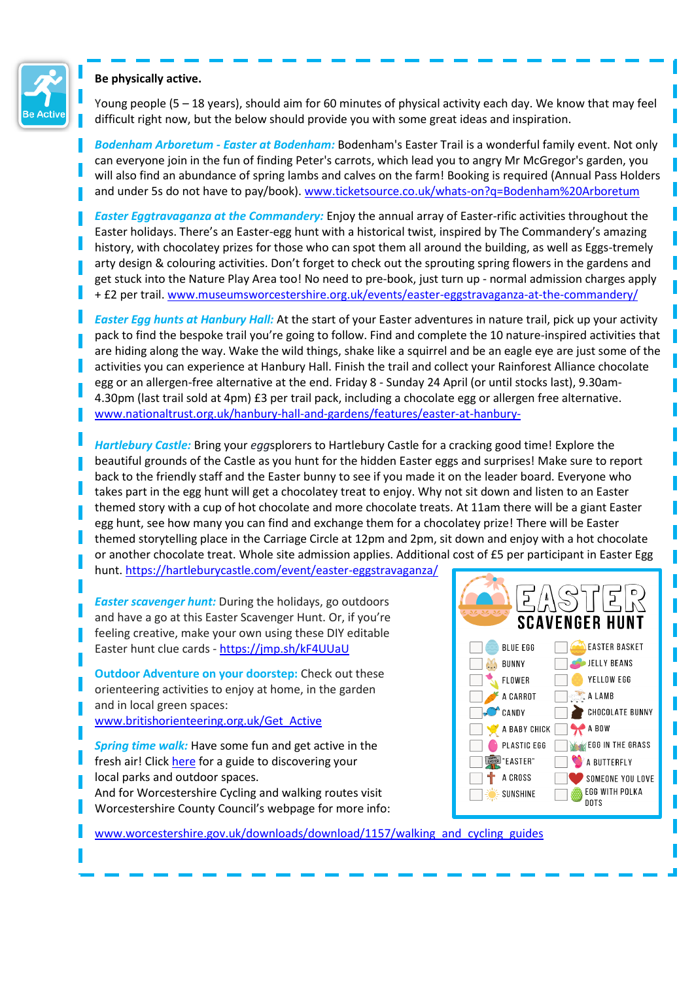

#### **Be physically active.**

Young people (5 – 18 years), should aim for 60 minutes of physical activity each day. We know that may feel difficult right now, but the below should provide you with some great ideas and inspiration.

*Bodenham Arboretum - Easter at Bodenham:* Bodenham's Easter Trail is a wonderful family event. Not only can everyone join in the fun of finding Peter's carrots, which lead you to angry Mr McGregor's garden, you will also find an abundance of spring lambs and calves on the farm! Booking is required (Annual Pass Holders and under 5s do not have to pay/book). [www.ticketsource.co.uk/whats-on?q=Bodenham%20Arboretum](http://www.ticketsource.co.uk/whats-on?q=Bodenham%20Arboretum)

*Easter Eggtravaganza at the Commandery:* Enjoy the annual array of Easter-rific activities throughout the Easter holidays. There's an Easter-egg hunt with a historical twist, inspired by The Commandery's amazing history, with chocolatey prizes for those who can spot them all around the building, as well as Eggs-tremely arty design & colouring activities. Don't forget to check out the sprouting spring flowers in the gardens and get stuck into the Nature Play Area too! No need to pre-book, just turn up - normal admission charges apply + £2 per trail[. www.museumsworcestershire.org.uk/events/easter-eggstravaganza-at-the-commandery/](http://www.museumsworcestershire.org.uk/events/easter-eggstravaganza-at-the-commandery/)

*Easter Egg hunts at Hanbury Hall:* At the start of your Easter adventures in nature trail, pick up your activity pack to find the bespoke trail you're going to follow. Find and complete the 10 nature-inspired activities that are hiding along the way. Wake the wild things, shake like a squirrel and be an eagle eye are just some of the activities you can experience at Hanbury Hall. Finish the trail and collect your Rainforest Alliance chocolate egg or an allergen-free alternative at the end. Friday 8 - Sunday 24 April (or until stocks last), 9.30am-4.30pm (last trail sold at 4pm) £3 per trail pack, including a chocolate egg or allergen free alternative. [www.nationaltrust.org.uk/hanbury-hall-and-gardens/features/easter-at-hanbury-](http://www.nationaltrust.org.uk/hanbury-hall-and-gardens/features/easter-at-hanbury-)

*Hartlebury Castle:* Bring your *egg*splorers to Hartlebury Castle for a cracking good time! Explore the beautiful grounds of the Castle as you hunt for the hidden Easter eggs and surprises! Make sure to report back to the friendly staff and the Easter bunny to see if you made it on the leader board. Everyone who takes part in the egg hunt will get a chocolatey treat to enjoy. Why not sit down and listen to an Easter themed story with a cup of hot chocolate and more chocolate treats. At 11am there will be a giant Easter egg hunt, see how many you can find and exchange them for a chocolatey prize! There will be Easter themed storytelling place in the Carriage Circle at 12pm and 2pm, sit down and enjoy with a hot chocolate or another chocolate treat. Whole site admission applies. Additional cost of £5 per participant in Easter Egg hunt. <https://hartleburycastle.com/event/easter-eggstravaganza/>

*Easter scavenger hunt:* During the holidays, go outdoors and have a go at this Easter Scavenger Hunt. Or, if you're feeling creative, make your own using these DIY editable Easter hunt clue cards - <https://jmp.sh/kF4UUaU>

**Outdoor Adventure on your doorstep:** Check out these orienteering activities to enjoy at home, in the garden and in local green spaces: [www.britishorienteering.org.uk/Get\\_Active](http://www.britishorienteering.org.uk/Get_Active)

*Spring time walk:* Have some fun and get active in the fresh air! Click [here](https://raring2go.co.uk/kidderminster-and-stourbridge/articles/placestogo/a-guide-to-your-local-parks-and-outdoor-spaces) for a guide to discovering your local parks and outdoor spaces. And for Worcestershire Cycling and walking routes visit Worcestershire County Council's webpage for more info:



[www.worcestershire.gov.uk/downloads/download/1157/walking\\_and\\_cycling\\_guides](http://www.worcestershire.gov.uk/downloads/download/1157/walking_and_cycling_guides)